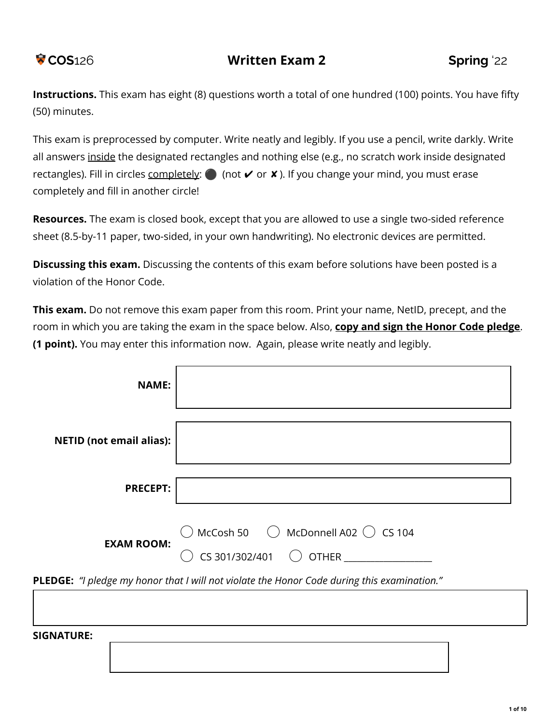**Instructions.** This exam has eight (8) questions worth a total of one hundred (100) points. You have fifty (50) minutes.

This exam is preprocessed by computer. Write neatly and legibly. If you use a pencil, write darkly. Write all answers inside the designated rectangles and nothing else (e.g., no scratch work inside designated rectangles). Fill in circles completely:  $\bigcirc$  (not  $\vee$  or  $\vee$ ). If you change your mind, you must erase completely and fill in another circle!

**Resources.** The exam is closed book, except that you are allowed to use a single two-sided reference sheet (8.5-by-11 paper, two-sided, in your own handwriting). No electronic devices are permitted.

**Discussing this exam.** Discussing the contents of this exam before solutions have been posted is a violation of the Honor Code.

**This exam.** Do not remove this exam paper from this room. Print your name, NetID, precept, and the room in which you are taking the exam in the space below. Also, **copy and sign the Honor Code pledge**. **(1 point).** You may enter this information now. Again, please write neatly and legibly.

| <b>NAME:</b>                    |                                                                                                    |
|---------------------------------|----------------------------------------------------------------------------------------------------|
| <b>NETID (not email alias):</b> |                                                                                                    |
| <b>PRECEPT:</b>                 |                                                                                                    |
| <b>EXAM ROOM:</b>               | $\bigcirc$ McCosh 50 $\bigcirc$ McDonnell A02 $\bigcirc$ CS 104<br>CS 301/302/401 $\bigcirc$ OTHER |
|                                 | PLEDGE: "I pledge my honor that I will not violate the Honor Code during this examination."        |

**SIGNATURE:**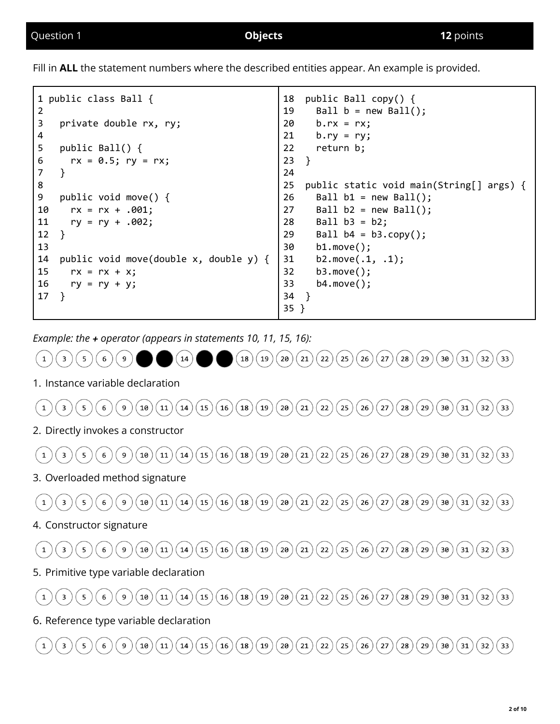Fill in **ALL** the statement numbers where the described entities appear. An example is provided.

| $\overline{2}$ | 1 public class Ball {                        | 18<br>19 | public Ball copy() {<br>Ball $b = new Ball();$ |
|----------------|----------------------------------------------|----------|------------------------------------------------|
| 3              | private double rx, ry;                       | 20       | $b.rx = rx$                                    |
| 4              |                                              | 21       | $b.ry = ry;$                                   |
| 5              | public Ball() $\{$                           | 22       | return b;                                      |
| 6              | $rx = 0.5; ry = rx;$                         | 23       | $\mathcal{F}$                                  |
| $\overline{7}$ | }                                            | 24       |                                                |
| 8              |                                              | 25       | public static void main(String[] args) {       |
| 9              | public void move() $\{$                      | 26       | Ball $b1 = new Ball()$ ;                       |
| 10             | $rx = rx + .001;$                            | 27       | Ball $b2 = new Ball();$                        |
| 11             | $ry = ry + .002;$                            | 28       | $Ball b3 = b2;$                                |
| 12             | $\}$                                         | 29       | Ball $b4 = b3.copy()$ ;                        |
| 13             |                                              | 30       | $b1.move()$ ;                                  |
| 14             | public void move(double $x$ , double $y$ ) { | 31       | b2.move $(.1, .1)$ ;                           |
| 15             | $rx = rx + x$ ;                              | 32       | $b3.move()$ ;                                  |
| 16             | $ry = ry + y;$                               | 33       | $b4.\text{move}$ );                            |
| 17             | <sup>}</sup>                                 | 34       |                                                |
|                |                                              | $35$ }   |                                                |

*Example: the + operator (appears in statements 10, 11, 15, 16):*

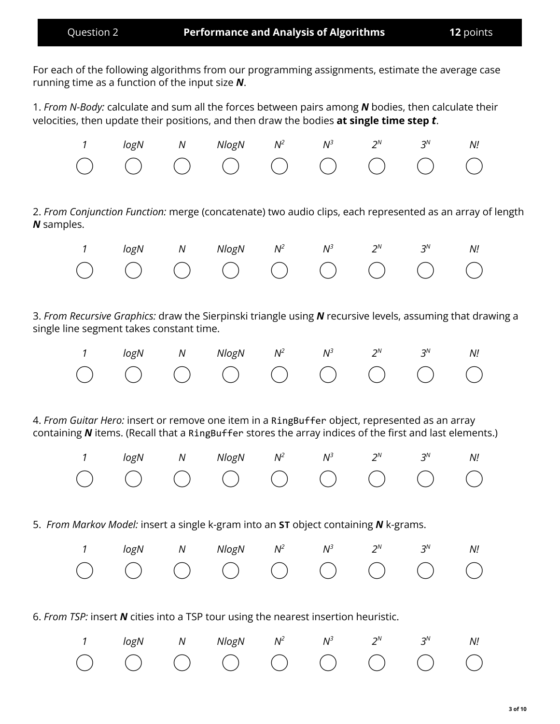For each of the following algorithms from our programming assignments, estimate the average case running time as a function of the input size *N*.

1. *From N-Body:* calculate and sum all the forces between pairs among *N* bodies, then calculate their velocities, then update their positions, and then draw the bodies **at single time step** *t*.



2. *From Conjunction Function:* merge (concatenate) two audio clips, each represented as an array of length *N* samples.

|  | 1 logN N NlogN $N^2$ $N^3$ $2^N$ $3^N$ N! |  |  |  |
|--|-------------------------------------------|--|--|--|
|  |                                           |  |  |  |

3. *From Recursive Graphics:* draw the Sierpinski triangle using *N* recursive levels, assuming that drawing a single line segment takes constant time.

|  | 1 logN N NlogN $N^2$ $N^3$ $2^N$ $3^N$ N! |  |  |  |
|--|-------------------------------------------|--|--|--|
|  |                                           |  |  |  |

4. *From Guitar Hero:* insert or remove one item in a RingBuffer object, represented as an array containing **N** items. (Recall that a RingBuffer stores the array indices of the first and last elements.)

|  | 1 logN N NlogN $N^2$ $N^3$ $2^N$ $3^N$ N! |  |  |  |
|--|-------------------------------------------|--|--|--|
|  |                                           |  |  |  |

5. *From Markov Model:* insert a single k-gram into an **ST** object containing *N* k-grams.

|  | 1 logN N NlogN $N^2$ $N^3$ $2^N$ $3^N$ N! |  |  |  |
|--|-------------------------------------------|--|--|--|
|  |                                           |  |  |  |

6. *From TSP:* insert *N* cities into a TSP tour using the nearest insertion heuristic.

|  | 1 logN N NlogN $N^2$ $N^3$ $2^N$ $3^N$ N! |  |  |  |
|--|-------------------------------------------|--|--|--|
|  |                                           |  |  |  |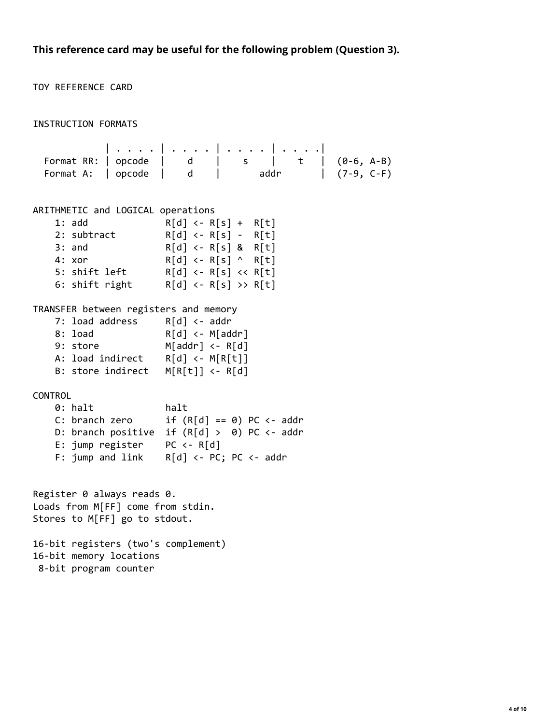**This reference card may be useful for the following problem (Question 3).**

TOY REFERENCE CARD INSTRUCTION FORMATS | . . . . | . . . . | . . . . | . . . .| Format RR: | opcode | d | s | t | (0-6, A-B)<br>Format A: | opcode | d | addr | (7-9, C-F) Format A:  $\vert$  opcode  $\vert$  d  $\vert$  addr  $(7-9, C-F)$ ARITHMETIC and LOGICAL operations 1: add R[d] <- R[s] + R[t] 2: subtract R[d] <- R[s] - R[t] 3: and R[d] <- R[s] & R[t] 4: xor  $R[d] \leftarrow R[s] \wedge R[t]$ 5: shift left R[d] <- R[s] << R[t]<br>6: shift right R[d] <- R[s] >> R[t]  $R[d] \leftarrow R[s] \rightarrow R[t]$ TRANSFER between registers and memory 7: load address R[d] <- addr 8: load R[d] <- M[addr] 9: store M[addr] <- R[d] A: load indirect R[d] <- M[R[t]] B: store indirect M[R[t]] <- R[d] CONTROL 0: halt halt C: branch zero  $if (R[d] == 0) PC < - addr$ D: branch positive if  $(R[d] > 0)$  PC <- addr E: jump register PC <- R[d] F: jump and link R[d] <- PC; PC <- addr Register 0 always reads 0. Loads from M[FF] come from stdin. Stores to M[FF] go to stdout. 16-bit registers (two's complement) 16-bit memory locations 8-bit program counter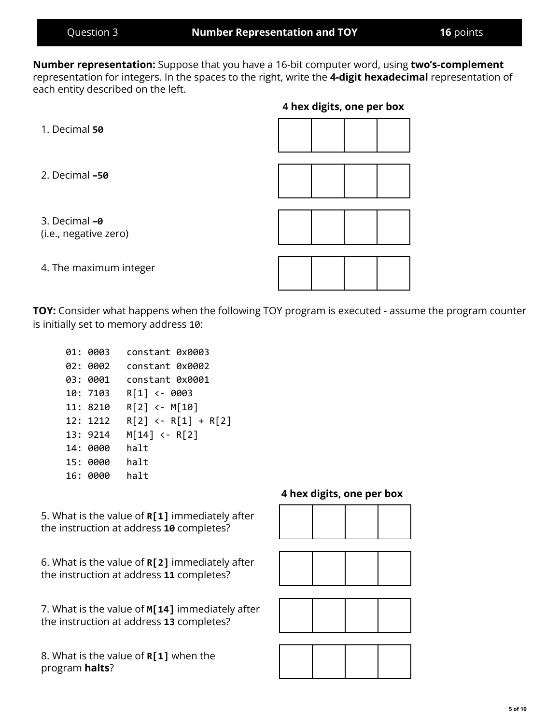**5 of 10**

**Number representation:** Suppose that you have a 16-bit computer word, using **two's-complement** representation for integers. In the spaces to the right, write the **4-digit hexadecimal** representation of each entity described on the left.

**4 hex digits, one per box**

| 1. Decimal 50                          |  |  |
|----------------------------------------|--|--|
| 2. Decimal -50                         |  |  |
| 3. Decimal -0<br>(i.e., negative zero) |  |  |
| 4. The maximum integer                 |  |  |

**TOY:** Consider what happens when the following TOY program is executed - assume the program counter is initially set to memory address 10:

01: 0003 constant 0x0003 02: 0002 constant 0x0002 03: 0001 constant 0x0001 10: 7103 R[1] <- 0003 11: 8210 R[2] <- M[10] 12: 1212 R[2] <- R[1] + R[2] 13: 9214 M[14] <- R[2] 14: 0000 halt 15: 0000 halt 16: 0000 halt

5. What is the value of **R[1]** immediately after the instruction at address **10** completes?

6. What is the value of **R[2]** immediately after the instruction at address **11** completes?

7. What is the value of **M[14]** immediately after the instruction at address **13** completes?

8. What is the value of **R[1]** when the program **halts**?

### **4 hex digits, one per box**







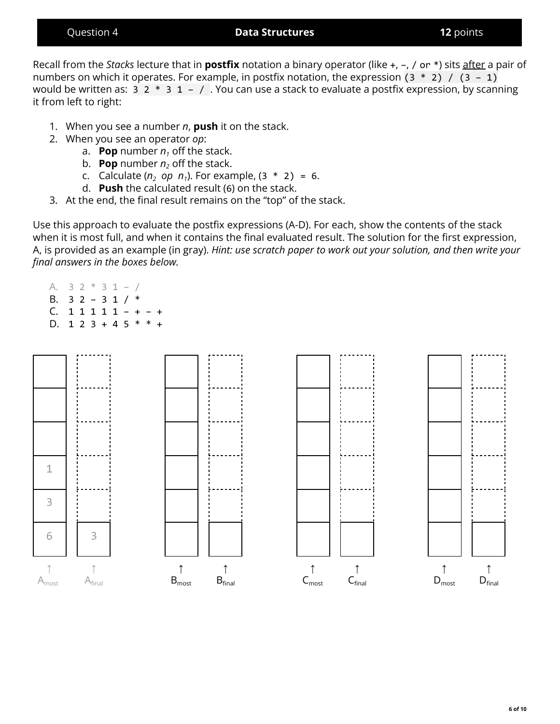### Question 4 **Data Structures 12** points

Recall from the *Stacks* lecture that in **postfix** notation a binary operator (like +, –, / or \*) sits after a pair of numbers on which it operates. For example, in postfix notation, the expression  $(3 * 2) / (3 - 1)$ would be written as:  $3 \times 3 \times 1 - 7$ . You can use a stack to evaluate a postfix expression, by scanning it from left to right:

- 1. When you see a number *n*, **push** it on the stack.
- 2. When you see an operator *op*:
	- a. **Pop** number  $n_1$  off the stack.
	- b. **Pop** number  $n_2$  off the stack.
	- c. Calculate ( $n_2$  *op*  $n_1$ ). For example, (3  $*$  2) = 6.
	- d. **Push** the calculated result (6) on the stack.
- 3. At the end, the final result remains on the "top" of the stack.

Use this approach to evaluate the postfix expressions (A-D). For each, show the contents of the stack when it is most full, and when it contains the final evaluated result. The solution for the first expression, A, is provided as an example (in gray). *Hint: use scratch paper to work out your solution, and then write your final answers in the boxes below.*

- A.  $3 \ 2 \ * \ 3 \ 1 \ \ /$ B.  $32 - 31 / *$
- C. 1 1 1 1 1 + + D.  $1 2 3 + 4 5 * * +$

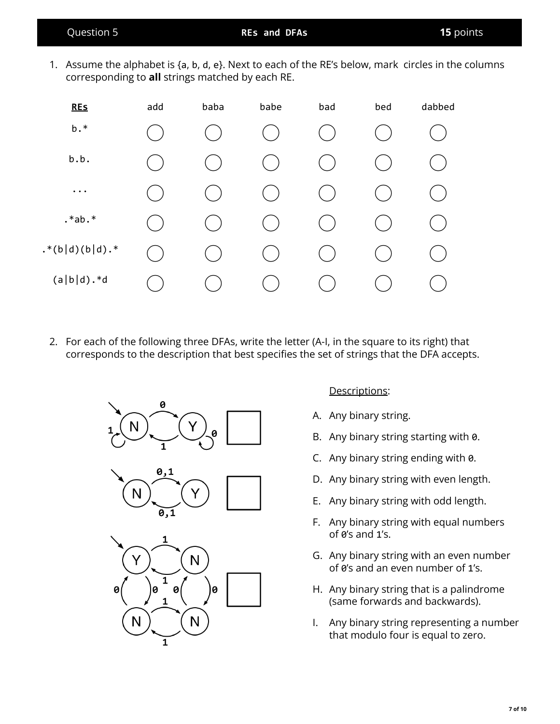1. Assume the alphabet is {a, b, d, e}. Next to each of the RE's below, mark circles in the columns corresponding to **all** strings matched by each RE.



2. For each of the following three DFAs, write the letter (A-I, in the square to its right) that corresponds to the description that best specifies the set of strings that the DFA accepts.



 ${\sf N}$ 

1

 $\mathbf{1}$ 

N

# Descriptions:

- A. Any binary string.
- B. Any binary string starting with 0.
- C. Any binary string ending with 0.
- D. Any binary string with even length.
- E. Any binary string with odd length.
- F. Any binary string with equal numbers of 0's and 1's.
- G. Any binary string with an even number of 0's and an even number of 1's.
- H. Any binary string that is a palindrome (same forwards and backwards).
- I. Any binary string representing a number that modulo four is equal to zero.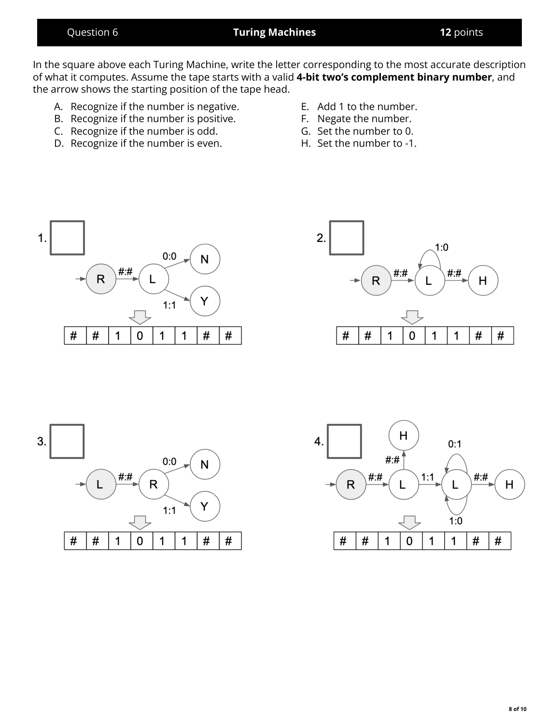## Question 6 **Turing Machines 12** points

In the square above each Turing Machine, write the letter corresponding to the most accurate description of what it computes. Assume the tape starts with a valid **4-bit two's complement binary number**, and the arrow shows the starting position of the tape head.

- A. Recognize if the number is negative.
- B. Recognize if the number is positive.
- C. Recognize if the number is odd.
- D. Recognize if the number is even.
- E. Add 1 to the number.
- F. Negate the number.
- G. Set the number to 0.
- H. Set the number to -1.







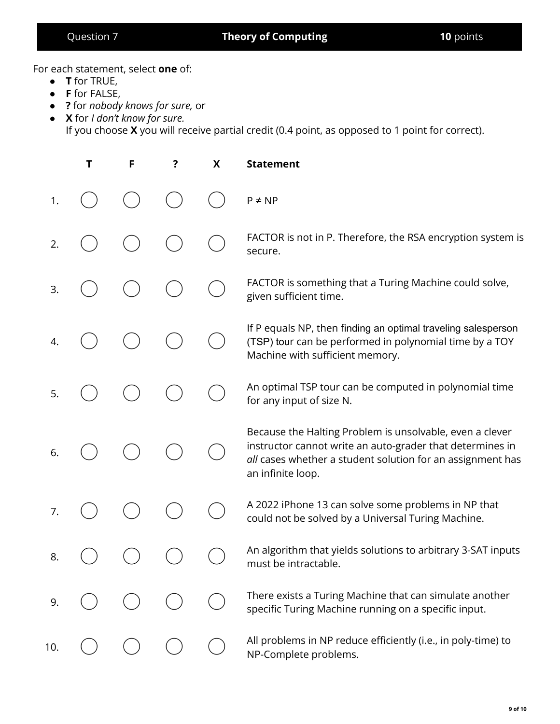# Question 7 **Theory of Computing 10** points

For each statement, select **one** of:

- **T** for TRUE,
- **F** for FALSE,
- **?** for *nobody knows for sure,* or
- **X** for *I don't know for sure.* If you choose **X** you will receive partial credit (0.4 point, as opposed to 1 point for correct).

|     | T | F | ? | X | <b>Statement</b>                                                                                                                                                                                         |
|-----|---|---|---|---|----------------------------------------------------------------------------------------------------------------------------------------------------------------------------------------------------------|
| 1.  |   |   |   |   | $P \neq NP$                                                                                                                                                                                              |
| 2.  |   |   |   |   | FACTOR is not in P. Therefore, the RSA encryption system is<br>secure.                                                                                                                                   |
| 3.  |   |   |   |   | FACTOR is something that a Turing Machine could solve,<br>given sufficient time.                                                                                                                         |
| 4.  |   |   |   |   | If P equals NP, then finding an optimal traveling salesperson<br>(TSP) tour can be performed in polynomial time by a TOY<br>Machine with sufficient memory.                                              |
| 5.  |   |   |   |   | An optimal TSP tour can be computed in polynomial time<br>for any input of size N.                                                                                                                       |
| 6.  |   |   |   |   | Because the Halting Problem is unsolvable, even a clever<br>instructor cannot write an auto-grader that determines in<br>all cases whether a student solution for an assignment has<br>an infinite loop. |
| 7.  |   |   |   |   | A 2022 iPhone 13 can solve some problems in NP that<br>could not be solved by a Universal Turing Machine.                                                                                                |
| 8.  |   |   |   |   | An algorithm that yields solutions to arbitrary 3-SAT inputs<br>must be intractable.                                                                                                                     |
| 9.  |   |   |   |   | There exists a Turing Machine that can simulate another<br>specific Turing Machine running on a specific input.                                                                                          |
| 10. |   |   |   |   | All problems in NP reduce efficiently (i.e., in poly-time) to<br>NP-Complete problems.                                                                                                                   |